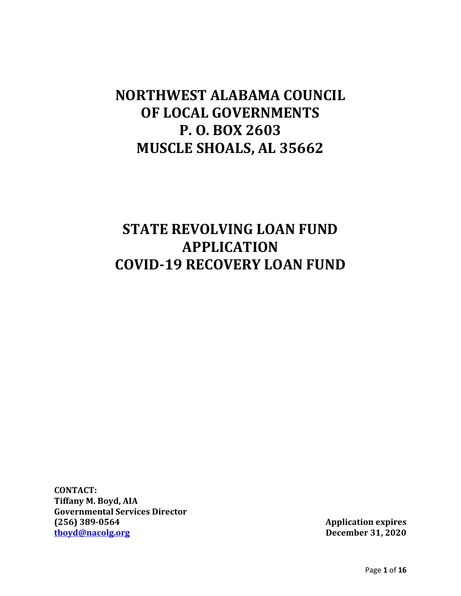# **NORTHWEST ALABAMA COUNCIL OF LOCAL GOVERNMENTS P. O. BOX 2603 MUSCLE SHOALS, AL 35662**

# **STATE REVOLVING LOAN FUND APPLICATION COVID-19 RECOVERY LOAN FUND**

**CONTACT: Tiffany M. Boyd, AIA Governmental Services Director (256) 389-0564 Application expires**

**December 31, 2020**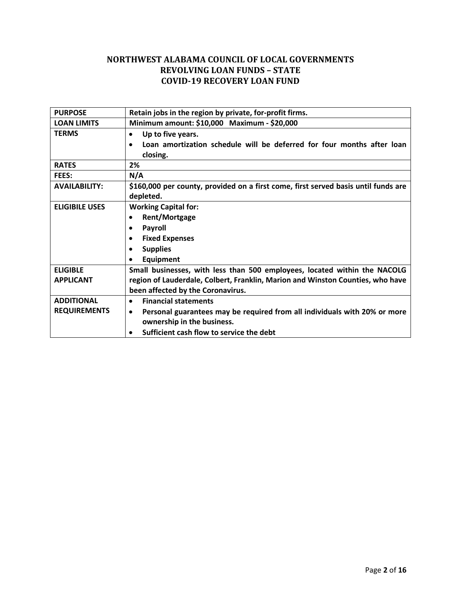## **NORTHWEST ALABAMA COUNCIL OF LOCAL GOVERNMENTS REVOLVING LOAN FUNDS – STATE COVID-19 RECOVERY LOAN FUND**

| <b>PURPOSE</b>        | Retain jobs in the region by private, for-profit firms.                                |  |  |  |  |
|-----------------------|----------------------------------------------------------------------------------------|--|--|--|--|
| <b>LOAN LIMITS</b>    | Minimum amount: \$10,000 Maximum - \$20,000                                            |  |  |  |  |
| <b>TERMS</b>          | Up to five years.                                                                      |  |  |  |  |
|                       | Loan amortization schedule will be deferred for four months after loan                 |  |  |  |  |
|                       | closing.                                                                               |  |  |  |  |
| <b>RATES</b>          | 2%                                                                                     |  |  |  |  |
| FEES:                 | N/A                                                                                    |  |  |  |  |
| <b>AVAILABILITY:</b>  | \$160,000 per county, provided on a first come, first served basis until funds are     |  |  |  |  |
|                       | depleted.                                                                              |  |  |  |  |
| <b>ELIGIBILE USES</b> | <b>Working Capital for:</b>                                                            |  |  |  |  |
|                       | Rent/Mortgage<br>$\bullet$                                                             |  |  |  |  |
|                       | <b>Payroll</b>                                                                         |  |  |  |  |
|                       | <b>Fixed Expenses</b><br>$\bullet$                                                     |  |  |  |  |
|                       | <b>Supplies</b>                                                                        |  |  |  |  |
|                       | <b>Equipment</b>                                                                       |  |  |  |  |
| <b>ELIGIBLE</b>       | Small businesses, with less than 500 employees, located within the NACOLG              |  |  |  |  |
| <b>APPLICANT</b>      | region of Lauderdale, Colbert, Franklin, Marion and Winston Counties, who have         |  |  |  |  |
|                       | been affected by the Coronavirus.                                                      |  |  |  |  |
| <b>ADDITIONAL</b>     | <b>Financial statements</b><br>$\bullet$                                               |  |  |  |  |
| <b>REQUIREMENTS</b>   | Personal guarantees may be required from all individuals with 20% or more<br>$\bullet$ |  |  |  |  |
|                       | ownership in the business.                                                             |  |  |  |  |
|                       | Sufficient cash flow to service the debt                                               |  |  |  |  |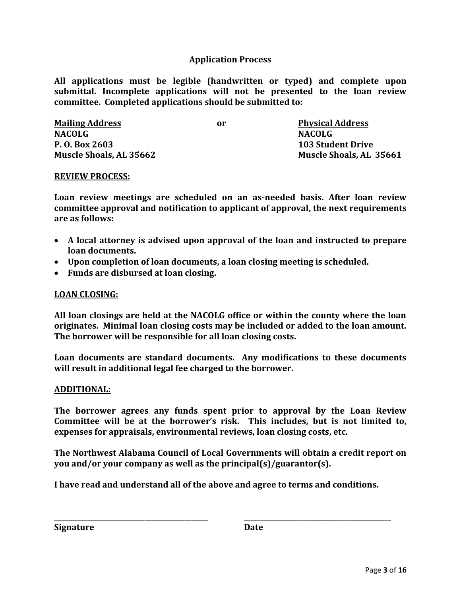## **Application Process**

**All applications must be legible (handwritten or typed) and complete upon submittal. Incomplete applications will not be presented to the loan review committee. Completed applications should be submitted to:**

| <b>Mailing Address</b>         | or | <b>Physical Address</b>  |
|--------------------------------|----|--------------------------|
| <b>NACOLG</b>                  |    | <b>NACOLG</b>            |
| P. O. Box 2603                 |    | <b>103 Student Drive</b> |
| <b>Muscle Shoals, AL 35662</b> |    | Muscle Shoals, AL 35661  |

#### **REVIEW PROCESS:**

**Loan review meetings are scheduled on an as-needed basis. After loan review committee approval and notification to applicant of approval, the next requirements are as follows:**

- **A local attorney is advised upon approval of the loan and instructed to prepare loan documents.**
- **Upon completion of loan documents, a loan closing meeting is scheduled.**
- **Funds are disbursed at loan closing.**

### **LOAN CLOSING:**

**All loan closings are held at the NACOLG office or within the county where the loan originates. Minimal loan closing costs may be included or added to the loan amount. The borrower will be responsible for all loan closing costs.**

**Loan documents are standard documents. Any modifications to these documents will result in additional legal fee charged to the borrower.**

#### **ADDITIONAL:**

**The borrower agrees any funds spent prior to approval by the Loan Review Committee will be at the borrower's risk. This includes, but is not limited to, expenses for appraisals, environmental reviews, loan closing costs, etc.**

**The Northwest Alabama Council of Local Governments will obtain a credit report on you and/or your company as well as the principal(s)/guarantor(s).**

**I have read and understand all of the above and agree to terms and conditions.**

**\_\_\_\_\_\_\_\_\_\_\_\_\_\_\_\_\_\_\_\_\_\_\_\_\_\_\_\_\_\_\_\_\_\_\_\_\_\_\_\_\_\_\_\_\_\_ \_\_\_\_\_\_\_\_\_\_\_\_\_\_\_\_\_\_\_\_\_\_\_\_\_\_\_\_\_\_\_\_\_\_\_\_\_\_\_\_\_\_\_\_**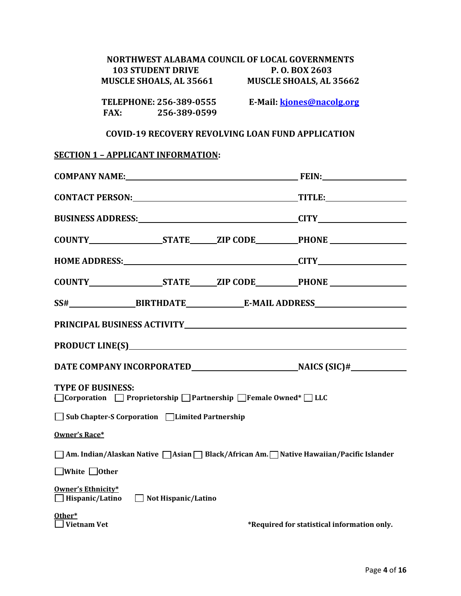| NORTHWEST ALABAMA COUNCIL OF LOCAL GOVERNMENTS<br><b>103 STUDENT DRIVE</b><br>P. O. BOX 2603<br>MUSCLE SHOALS, AL 35661<br><b>MUSCLE SHOALS, AL 35662</b> |                           |  |  |  |
|-----------------------------------------------------------------------------------------------------------------------------------------------------------|---------------------------|--|--|--|
| TELEPHONE: 256-389-0555<br>FAX: 256-389-0599                                                                                                              | E-Mail: kjones@nacolg.org |  |  |  |
| <b>COVID-19 RECOVERY REVOLVING LOAN FUND APPLICATION</b>                                                                                                  |                           |  |  |  |
| <b>SECTION 1 - APPLICANT INFORMATION:</b>                                                                                                                 |                           |  |  |  |
|                                                                                                                                                           |                           |  |  |  |
|                                                                                                                                                           |                           |  |  |  |
|                                                                                                                                                           |                           |  |  |  |
|                                                                                                                                                           |                           |  |  |  |
|                                                                                                                                                           |                           |  |  |  |
|                                                                                                                                                           |                           |  |  |  |
|                                                                                                                                                           |                           |  |  |  |
|                                                                                                                                                           |                           |  |  |  |
|                                                                                                                                                           |                           |  |  |  |
|                                                                                                                                                           |                           |  |  |  |
|                                                                                                                                                           |                           |  |  |  |
| <b>TYPE OF BUSINESS:</b><br>$\Box$ Corporation $\Box$ Proprietorship $\Box$ Partnership $\Box$ Female Owned* $\Box$ LLC                                   |                           |  |  |  |
| Sub Chapter-S Corporation □Limited Partnership                                                                                                            |                           |  |  |  |
| Owner's Race*                                                                                                                                             |                           |  |  |  |
| Am. Indian/Alaskan Native   Asian   Black/African Am.   Native Hawaiian/Pacific Islander                                                                  |                           |  |  |  |
| White $\Box$ Other                                                                                                                                        |                           |  |  |  |
| Owner's Ethnicity*<br>Not Hispanic/Latino<br>Hispanic/Latino                                                                                              |                           |  |  |  |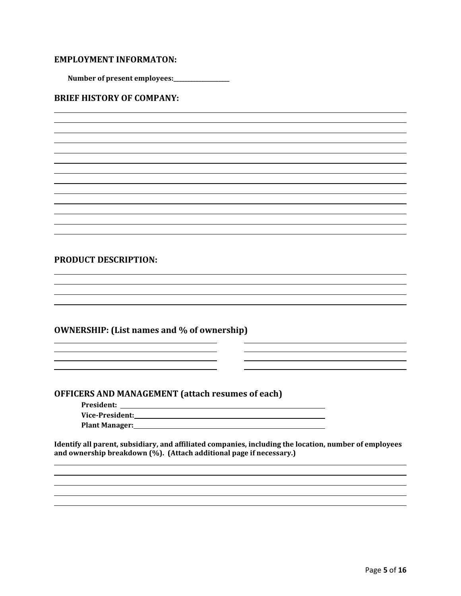### **EMPLOYMENT INFORMATON:**

**Number of present employees:\_\_\_\_\_\_\_\_\_\_\_\_\_\_\_\_\_\_\_\_**

#### **BRIEF HISTORY OF COMPANY:**

#### **PRODUCT DESCRIPTION:**

#### **OWNERSHIP: (List names and % of ownership)**

<u> 1989 - Johann Stoff, deutscher Stoffen und der Stoffen und der Stoffen und der Stoffen und der Stoffen und der</u>

#### **OFFICERS AND MANAGEMENT (attach resumes of each)**

**President:** 

**Vice-President: Plant Manager:**

**Identify all parent, subsidiary, and affiliated companies, including the location, number of employees and ownership breakdown (%). (Attach additional page if necessary.)**

<u> 1989 - Johann Stoff, amerikansk politiker (\* 1908)</u>

<u> 1989 - Johann Stoff, deutscher Stoffen und der Stoffen und der Stoffen und der Stoffen und der Stoffen und der Stoffen und der Stoffen und der Stoffen und der Stoffen und der Stoffen und der Stoffen und der Stoffen und d</u>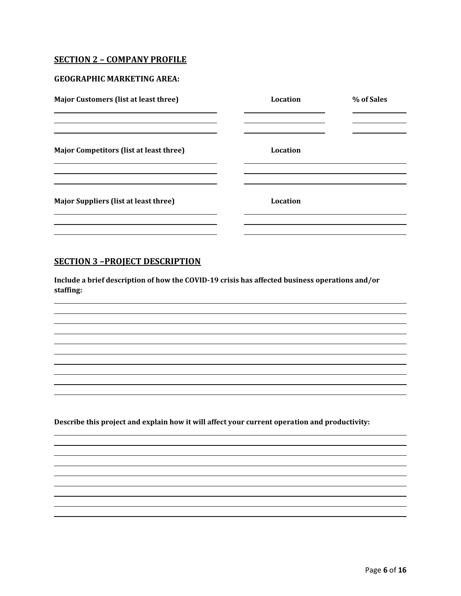#### **SECTION 2 – COMPANY PROFILE**

#### **GEOGRAPHIC MARKETING AREA:**

| <b>Major Customers (list at least three)</b>                                                                                                                    | Location        | % of Sales |
|-----------------------------------------------------------------------------------------------------------------------------------------------------------------|-----------------|------------|
| <u> 1989 - Andrea Santa Andrea Andrea Andrea Andrea Andrea Andrea Andrea Andrea Andrea Andrea Andrea Andrea Andr</u><br>Major Competitors (list at least three) | Location        |            |
| <b>Major Suppliers (list at least three)</b>                                                                                                                    | <b>Location</b> |            |
|                                                                                                                                                                 |                 |            |

## **SECTION 3 –PROJECT DESCRIPTION**

**Include a brief description of how the COVID-19 crisis has affected business operations and/or staffing:**

**Describe this project and explain how it will affect your current operation and productivity:**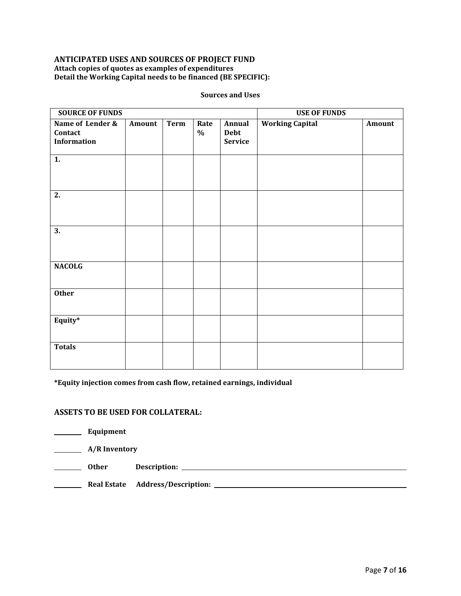#### **ANTICIPATED USES AND SOURCES OF PROJECT FUND Attach copies of quotes as examples of expenditures Detail the Working Capital needs to be financed (BE SPECIFIC):**

| <b>SOURCE OF FUNDS</b>                            |        |             |              |                                         | <b>USE OF FUNDS</b>    |        |
|---------------------------------------------------|--------|-------------|--------------|-----------------------------------------|------------------------|--------|
| Name of Lender &<br>Contact<br><b>Information</b> | Amount | <b>Term</b> | Rate<br>$\%$ | Annual<br><b>Debt</b><br><b>Service</b> | <b>Working Capital</b> | Amount |
| 1.                                                |        |             |              |                                         |                        |        |
| 2.                                                |        |             |              |                                         |                        |        |
| 3.                                                |        |             |              |                                         |                        |        |
| <b>NACOLG</b>                                     |        |             |              |                                         |                        |        |
| <b>Other</b>                                      |        |             |              |                                         |                        |        |
| Equity*                                           |        |             |              |                                         |                        |        |
| <b>Totals</b>                                     |        |             |              |                                         |                        |        |

#### **Sources and Uses**

**\*Equity injection comes from cash flow, retained earnings, individual**

### **ASSETS TO BE USED FOR COLLATERAL:**

| Equipment            |                                                                                                                                                     |
|----------------------|-----------------------------------------------------------------------------------------------------------------------------------------------------|
| <b>A/R</b> Inventory |                                                                                                                                                     |
| Other                |                                                                                                                                                     |
| <b>Real Estate</b>   | <b>Address/Description:</b><br><u> 1980 - Jan Sterling von de Sterling von de Sterling von de Sterling von de Sterling von de Sterling von de S</u> |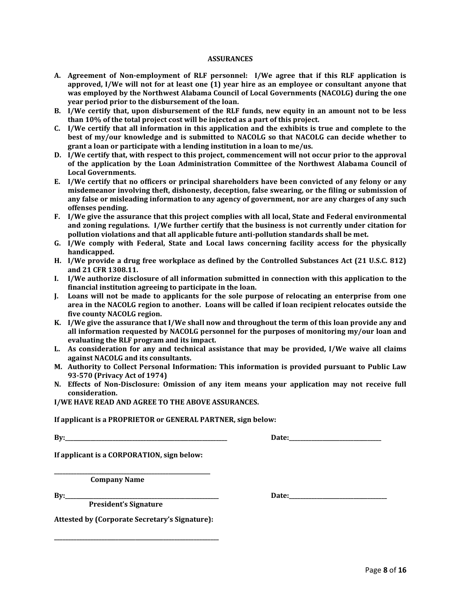#### **ASSURANCES**

- **A. Agreement of Non-employment of RLF personnel: I/We agree that if this RLF application is approved, I/We will not for at least one (1) year hire as an employee or consultant anyone that was employed by the Northwest Alabama Council of Local Governments (NACOLG) during the one year period prior to the disbursement of the loan.**
- **B. I/We certify that, upon disbursement of the RLF funds, new equity in an amount not to be less than 10% of the total project cost will be injected as a part of this project.**
- **C. I/We certify that all information in this application and the exhibits is true and complete to the best of my/our knowledge and is submitted to NACOLG so that NACOLG can decide whether to grant a loan or participate with a lending institution in a loan to me/us.**
- **D. I/We certify that, with respect to this project, commencement will not occur prior to the approval of the application by the Loan Administration Committee of the Northwest Alabama Council of Local Governments.**
- **E. I/We certify that no officers or principal shareholders have been convicted of any felony or any misdemeanor involving theft, dishonesty, deception, false swearing, or the filing or submission of any false or misleading information to any agency of government, nor are any charges of any such offenses pending.**
- **F. I/We give the assurance that this project complies with all local, State and Federal environmental and zoning regulations. I/We further certify that the business is not currently under citation for pollution violations and that all applicable future anti-pollution standards shall be met.**
- **G. I/We comply with Federal, State and Local laws concerning facility access for the physically handicapped.**
- **H. I/We provide a drug free workplace as defined by the Controlled Substances Act (21 U.S.C. 812) and 21 CFR 1308.11.**
- **I. I/We authorize disclosure of all information submitted in connection with this application to the financial institution agreeing to participate in the loan.**
- **J. Loans will not be made to applicants for the sole purpose of relocating an enterprise from one area in the NACOLG region to another. Loans will be called if loan recipient relocates outside the five county NACOLG region.**
- **K. I/We give the assurance that I/We shall now and throughout the term of this loan provide any and all information requested by NACOLG personnel for the purposes of monitoring my/our loan and evaluating the RLF program and its impact.**
- **L. As consideration for any and technical assistance that may be provided, I/We waive all claims against NACOLG and its consultants.**
- **M. Authority to Collect Personal Information: This information is provided pursuant to Public Law 93-570 (Privacy Act of 1974)**
- **N. Effects of Non-Disclosure: Omission of any item means your application may not receive full consideration.**

**I/WE HAVE READ AND AGREE TO THE ABOVE ASSURANCES.**

**If applicant is a PROPRIETOR or GENERAL PARTNER, sign below:**

**By:** Date:

**If applicant is a CORPORATION, sign below:**

**\_\_\_\_\_\_\_\_\_\_\_\_\_\_\_\_\_\_\_\_\_\_\_\_\_\_\_\_\_\_\_\_\_\_\_\_\_\_\_\_\_\_\_\_\_\_\_\_\_\_\_\_\_\_\_\_ Company Name**

 **President's Signature**

**By:\_\_\_\_\_\_\_\_\_\_\_\_\_\_\_\_\_\_\_\_\_\_\_\_\_\_\_\_\_\_\_\_\_\_\_\_\_\_\_\_\_\_\_\_\_\_\_\_\_\_\_\_\_\_\_ Date:\_\_\_\_\_\_\_\_\_\_\_\_\_\_\_\_\_\_\_\_\_\_\_\_\_\_\_\_\_\_\_\_\_\_\_**

**Attested by (Corporate Secretary's Signature):**

**\_\_\_\_\_\_\_\_\_\_\_\_\_\_\_\_\_\_\_\_\_\_\_\_\_\_\_\_\_\_\_\_\_\_\_\_\_\_\_\_\_\_\_\_\_\_\_\_\_\_\_\_\_\_\_\_\_\_\_**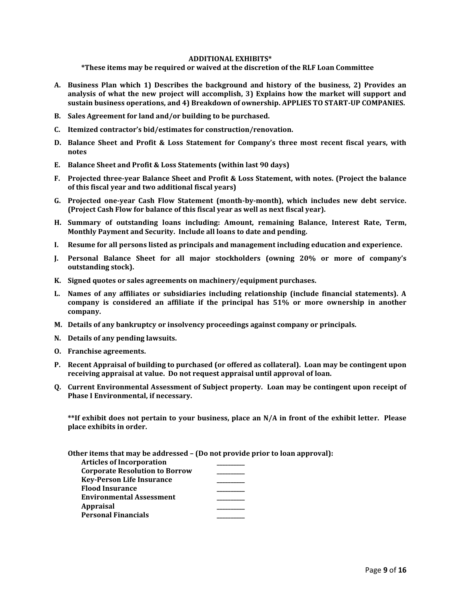#### **ADDITIONAL EXHIBITS\***

**\*These items may be required or waived at the discretion of the RLF Loan Committee**

- **A. Business Plan which 1) Describes the background and history of the business, 2) Provides an analysis of what the new project will accomplish, 3) Explains how the market will support and sustain business operations, and 4) Breakdown of ownership. APPLIES TO START-UP COMPANIES.**
- **B. Sales Agreement for land and/or building to be purchased.**
- **C. Itemized contractor's bid/estimates for construction/renovation.**
- **D. Balance Sheet and Profit & Loss Statement for Company's three most recent fiscal years, with notes**
- **E. Balance Sheet and Profit & Loss Statements (within last 90 days)**
- **F. Projected three-year Balance Sheet and Profit & Loss Statement, with notes. (Project the balance of this fiscal year and two additional fiscal years)**
- **G. Projected one-year Cash Flow Statement (month-by-month), which includes new debt service. (Project Cash Flow for balance of this fiscal year as well as next fiscal year).**
- **H. Summary of outstanding loans including: Amount, remaining Balance, Interest Rate, Term, Monthly Payment and Security. Include all loans to date and pending.**
- **I. Resume for all persons listed as principals and management including education and experience.**
- **J. Personal Balance Sheet for all major stockholders (owning 20% or more of company's outstanding stock).**
- **K. Signed quotes or sales agreements on machinery/equipment purchases.**
- **L. Names of any affiliates or subsidiaries including relationship (include financial statements). A company is considered an affiliate if the principal has 51% or more ownership in another company.**
- **M. Details of any bankruptcy or insolvency proceedings against company or principals.**
- **N. Details of any pending lawsuits.**
- **O. Franchise agreements.**
- **P. Recent Appraisal of building to purchased (or offered as collateral). Loan may be contingent upon receiving appraisal at value. Do not request appraisal until approval of loan.**
- **Q. Current Environmental Assessment of Subject property. Loan may be contingent upon receipt of Phase I Environmental, if necessary.**

**\*\*If exhibit does not pertain to your business, place an N/A in front of the exhibit letter. Please place exhibits in order.**

**Other items that may be addressed – (Do not provide prior to loan approval):**

| <b>Articles of Incorporation</b>      |  |
|---------------------------------------|--|
| <b>Corporate Resolution to Borrow</b> |  |
| <b>Key-Person Life Insurance</b>      |  |
| <b>Flood Insurance</b>                |  |
| <b>Environmental Assessment</b>       |  |
| <b>Appraisal</b>                      |  |
| <b>Personal Financials</b>            |  |
|                                       |  |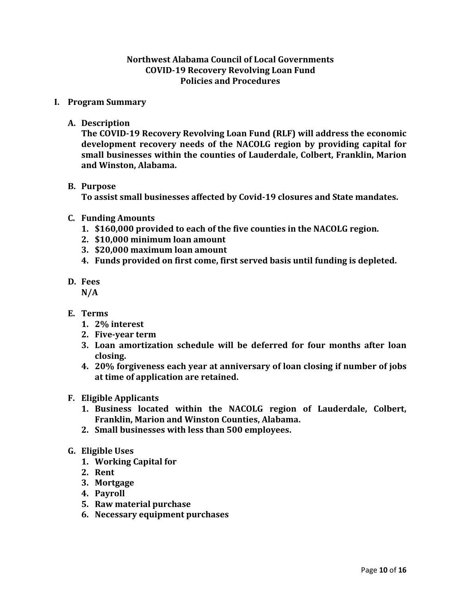## **Northwest Alabama Council of Local Governments COVID-19 Recovery Revolving Loan Fund Policies and Procedures**

## **I. Program Summary**

**A. Description** 

**The COVID-19 Recovery Revolving Loan Fund (RLF) will address the economic development recovery needs of the NACOLG region by providing capital for small businesses within the counties of Lauderdale, Colbert, Franklin, Marion and Winston, Alabama.** 

## **B. Purpose**

**To assist small businesses affected by Covid-19 closures and State mandates.**

## **C. Funding Amounts**

- **1. \$160,000 provided to each of the five counties in the NACOLG region.**
- **2. \$10,000 minimum loan amount**
- **3. \$20,000 maximum loan amount**
- **4. Funds provided on first come, first served basis until funding is depleted.**
- **D. Fees**
	- **N/A**
- **E. Terms**
	- **1. 2% interest**
	- **2. Five-year term**
	- **3. Loan amortization schedule will be deferred for four months after loan closing.**
	- **4. 20% forgiveness each year at anniversary of loan closing if number of jobs at time of application are retained.**
- **F. Eligible Applicants**
	- **1. Business located within the NACOLG region of Lauderdale, Colbert, Franklin, Marion and Winston Counties, Alabama.**
	- **2. Small businesses with less than 500 employees.**

## **G. Eligible Uses**

- **1. Working Capital for**
- **2. Rent**
- **3. Mortgage**
- **4. Payroll**
- **5. Raw material purchase**
- **6. Necessary equipment purchases**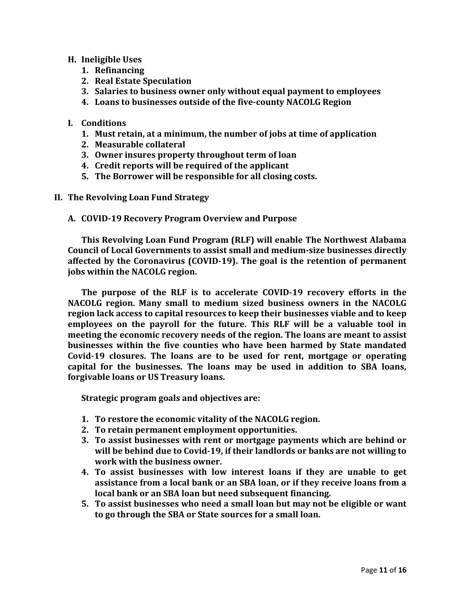## **H. Ineligible Uses**

- **1. Refinancing**
- **2. Real Estate Speculation**
- **3. Salaries to business owner only without equal payment to employees**
- **4. Loans to businesses outside of the five-county NACOLG Region**

## **I. Conditions**

- **1. Must retain, at a minimum, the number of jobs at time of application**
- **2. Measurable collateral**
- **3. Owner insures property throughout term of loan**
- **4. Credit reports will be required of the applicant**
- **5. The Borrower will be responsible for all closing costs.**
- **II. The Revolving Loan Fund Strategy**
	- **A. COVID-19 Recovery Program Overview and Purpose**

**This Revolving Loan Fund Program (RLF) will enable The Northwest Alabama Council of Local Governments to assist small and medium-size businesses directly affected by the Coronavirus (COVID-19). The goal is the retention of permanent jobs within the NACOLG region.** 

**The purpose of the RLF is to accelerate COVID-19 recovery efforts in the NACOLG region. Many small to medium sized business owners in the NACOLG region lack access to capital resources to keep their businesses viable and to keep employees on the payroll for the future. This RLF will be a valuable tool in meeting the economic recovery needs of the region. The loans are meant to assist businesses within the five counties who have been harmed by State mandated Covid-19 closures. The loans are to be used for rent, mortgage or operating capital for the businesses. The loans may be used in addition to SBA loans, forgivable loans or US Treasury loans.** 

**Strategic program goals and objectives are:**

- **1. To restore the economic vitality of the NACOLG region.**
- **2. To retain permanent employment opportunities.**
- **3. To assist businesses with rent or mortgage payments which are behind or will be behind due to Covid-19, if their landlords or banks are not willing to work with the business owner.**
- **4. To assist businesses with low interest loans if they are unable to get assistance from a local bank or an SBA loan, or if they receive loans from a local bank or an SBA loan but need subsequent financing.**
- **5. To assist businesses who need a small loan but may not be eligible or want to go through the SBA or State sources for a small loan.**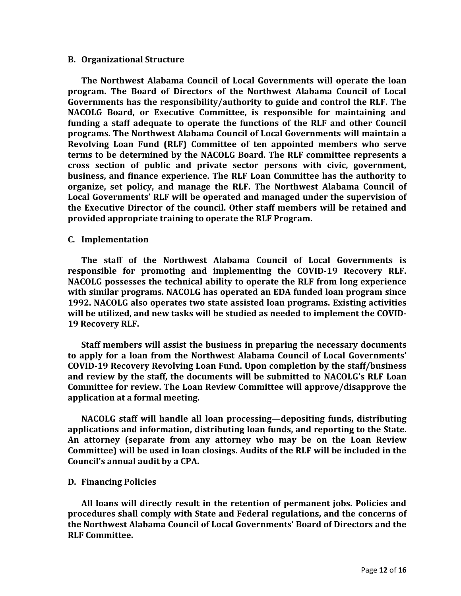#### **B. Organizational Structure**

**The Northwest Alabama Council of Local Governments will operate the loan program. The Board of Directors of the Northwest Alabama Council of Local Governments has the responsibility/authority to guide and control the RLF. The NACOLG Board, or Executive Committee, is responsible for maintaining and funding a staff adequate to operate the functions of the RLF and other Council programs. The Northwest Alabama Council of Local Governments will maintain a Revolving Loan Fund (RLF) Committee of ten appointed members who serve terms to be determined by the NACOLG Board. The RLF committee represents a cross section of public and private sector persons with civic, government, business, and finance experience. The RLF Loan Committee has the authority to organize, set policy, and manage the RLF. The Northwest Alabama Council of Local Governments' RLF will be operated and managed under the supervision of the Executive Director of the council. Other staff members will be retained and provided appropriate training to operate the RLF Program.** 

#### **C. Implementation**

**The staff of the Northwest Alabama Council of Local Governments is responsible for promoting and implementing the COVID-19 Recovery RLF. NACOLG possesses the technical ability to operate the RLF from long experience with similar programs. NACOLG has operated an EDA funded loan program since 1992. NACOLG also operates two state assisted loan programs. Existing activities will be utilized, and new tasks will be studied as needed to implement the COVID-19 Recovery RLF.** 

**Staff members will assist the business in preparing the necessary documents to apply for a loan from the Northwest Alabama Council of Local Governments' COVID-19 Recovery Revolving Loan Fund. Upon completion by the staff/business and review by the staff, the documents will be submitted to NACOLG's RLF Loan Committee for review. The Loan Review Committee will approve/disapprove the application at a formal meeting.** 

**NACOLG staff will handle all loan processing—depositing funds, distributing applications and information, distributing loan funds, and reporting to the State. An attorney (separate from any attorney who may be on the Loan Review Committee) will be used in loan closings. Audits of the RLF will be included in the Council's annual audit by a CPA.**

#### **D. Financing Policies**

**All loans will directly result in the retention of permanent jobs. Policies and procedures shall comply with State and Federal regulations, and the concerns of the Northwest Alabama Council of Local Governments' Board of Directors and the RLF Committee.**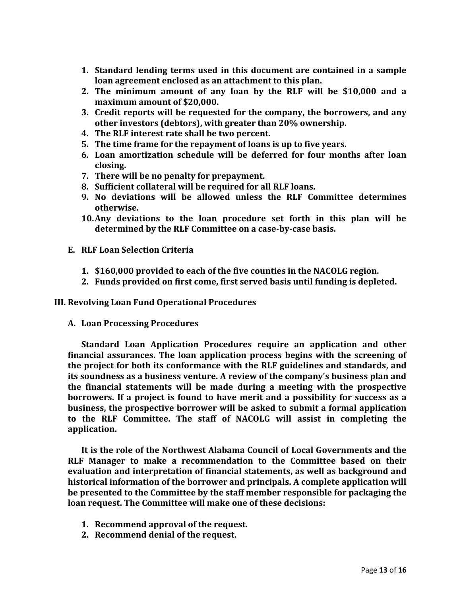- **1. Standard lending terms used in this document are contained in a sample loan agreement enclosed as an attachment to this plan.**
- **2. The minimum amount of any loan by the RLF will be \$10,000 and a maximum amount of \$20,000.**
- **3. Credit reports will be requested for the company, the borrowers, and any other investors (debtors), with greater than 20% ownership.**
- **4. The RLF interest rate shall be two percent.**
- **5. The time frame for the repayment of loans is up to five years.**
- **6. Loan amortization schedule will be deferred for four months after loan closing.**
- **7. There will be no penalty for prepayment.**
- **8. Sufficient collateral will be required for all RLF loans.**
- **9. No deviations will be allowed unless the RLF Committee determines otherwise.**
- **10.Any deviations to the loan procedure set forth in this plan will be determined by the RLF Committee on a case-by-case basis.**
- **E. RLF Loan Selection Criteria** 
	- **1. \$160,000 provided to each of the five counties in the NACOLG region.**
	- **2. Funds provided on first come, first served basis until funding is depleted.**

**III. Revolving Loan Fund Operational Procedures**

**A. Loan Processing Procedures** 

**Standard Loan Application Procedures require an application and other financial assurances. The loan application process begins with the screening of the project for both its conformance with the RLF guidelines and standards, and its soundness as a business venture. A review of the company's business plan and the financial statements will be made during a meeting with the prospective borrowers. If a project is found to have merit and a possibility for success as a business, the prospective borrower will be asked to submit a formal application to the RLF Committee. The staff of NACOLG will assist in completing the application.**

**It is the role of the Northwest Alabama Council of Local Governments and the RLF Manager to make a recommendation to the Committee based on their evaluation and interpretation of financial statements, as well as background and historical information of the borrower and principals. A complete application will be presented to the Committee by the staff member responsible for packaging the loan request. The Committee will make one of these decisions:** 

- **1. Recommend approval of the request.**
- **2. Recommend denial of the request.**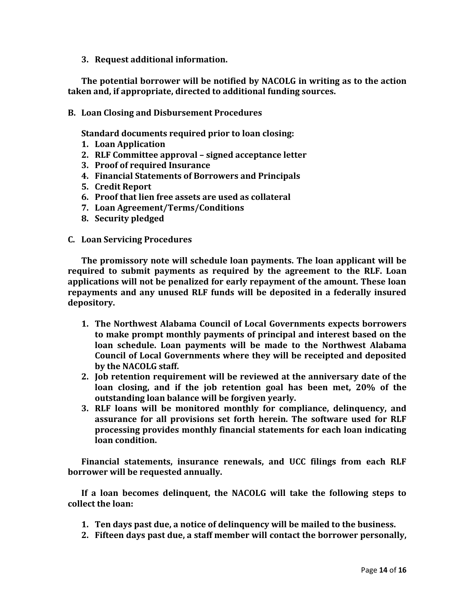**3. Request additional information.**

**The potential borrower will be notified by NACOLG in writing as to the action taken and, if appropriate, directed to additional funding sources.** 

**B. Loan Closing and Disbursement Procedures** 

**Standard documents required prior to loan closing:**

- **1. Loan Application**
- **2. RLF Committee approval – signed acceptance letter**
- **3. Proof of required Insurance**
- **4. Financial Statements of Borrowers and Principals**
- **5. Credit Report**
- **6. Proof that lien free assets are used as collateral**
- **7. Loan Agreement/Terms/Conditions**
- **8. Security pledged**
- **C. Loan Servicing Procedures**

**The promissory note will schedule loan payments. The loan applicant will be required to submit payments as required by the agreement to the RLF. Loan applications will not be penalized for early repayment of the amount. These loan repayments and any unused RLF funds will be deposited in a federally insured depository.** 

- **1. The Northwest Alabama Council of Local Governments expects borrowers to make prompt monthly payments of principal and interest based on the loan schedule. Loan payments will be made to the Northwest Alabama Council of Local Governments where they will be receipted and deposited by the NACOLG staff.**
- **2. Job retention requirement will be reviewed at the anniversary date of the loan closing, and if the job retention goal has been met, 20% of the outstanding loan balance will be forgiven yearly.**
- **3. RLF loans will be monitored monthly for compliance, delinquency, and assurance for all provisions set forth herein. The software used for RLF processing provides monthly financial statements for each loan indicating loan condition.**

**Financial statements, insurance renewals, and UCC filings from each RLF borrower will be requested annually.** 

**If a loan becomes delinquent, the NACOLG will take the following steps to collect the loan:** 

- **1. Ten days past due, a notice of delinquency will be mailed to the business.**
- **2. Fifteen days past due, a staff member will contact the borrower personally,**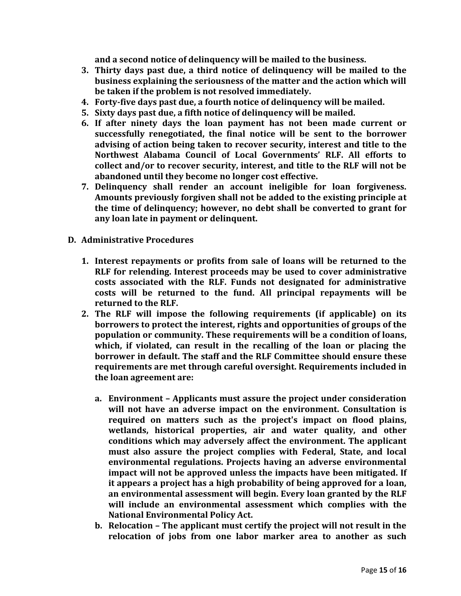**and a second notice of delinquency will be mailed to the business.** 

- **3. Thirty days past due, a third notice of delinquency will be mailed to the business explaining the seriousness of the matter and the action which will be taken if the problem is not resolved immediately.**
- **4. Forty-five days past due, a fourth notice of delinquency will be mailed.**
- **5. Sixty days past due, a fifth notice of delinquency will be mailed.**
- **6. If after ninety days the loan payment has not been made current or successfully renegotiated, the final notice will be sent to the borrower advising of action being taken to recover security, interest and title to the Northwest Alabama Council of Local Governments' RLF. All efforts to collect and/or to recover security, interest, and title to the RLF will not be abandoned until they become no longer cost effective.**
- **7. Delinquency shall render an account ineligible for loan forgiveness. Amounts previously forgiven shall not be added to the existing principle at the time of delinquency; however, no debt shall be converted to grant for any loan late in payment or delinquent.**
- **D. Administrative Procedures** 
	- **1. Interest repayments or profits from sale of loans will be returned to the RLF for relending. Interest proceeds may be used to cover administrative costs associated with the RLF. Funds not designated for administrative costs will be returned to the fund. All principal repayments will be returned to the RLF.**
	- **2. The RLF will impose the following requirements (if applicable) on its borrowers to protect the interest, rights and opportunities of groups of the population or community. These requirements will be a condition of loans, which, if violated, can result in the recalling of the loan or placing the borrower in default. The staff and the RLF Committee should ensure these requirements are met through careful oversight. Requirements included in the loan agreement are:** 
		- **a. Environment – Applicants must assure the project under consideration will not have an adverse impact on the environment. Consultation is required on matters such as the project's impact on flood plains, wetlands, historical properties, air and water quality, and other conditions which may adversely affect the environment. The applicant must also assure the project complies with Federal, State, and local environmental regulations. Projects having an adverse environmental impact will not be approved unless the impacts have been mitigated. If it appears a project has a high probability of being approved for a loan, an environmental assessment will begin. Every loan granted by the RLF will include an environmental assessment which complies with the National Environmental Policy Act.**
		- **b. Relocation – The applicant must certify the project will not result in the relocation of jobs from one labor marker area to another as such**